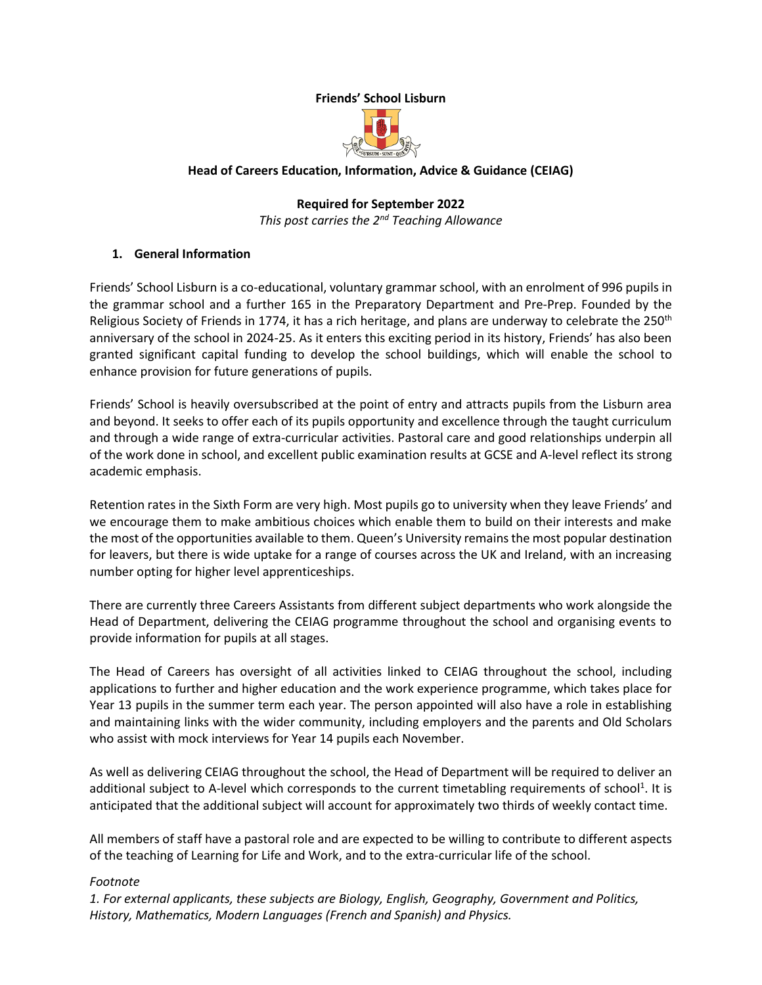## **Friends' School Lisburn**



#### **Head of Careers Education, Information, Advice & Guidance (CEIAG)**

**Required for September 2022** *This post carries the 2nd Teaching Allowance*

#### **1. General Information**

Friends' School Lisburn is a co-educational, voluntary grammar school, with an enrolment of 996 pupils in the grammar school and a further 165 in the Preparatory Department and Pre-Prep. Founded by the Religious Society of Friends in 1774, it has a rich heritage, and plans are underway to celebrate the 250<sup>th</sup> anniversary of the school in 2024-25. As it enters this exciting period in its history, Friends' has also been granted significant capital funding to develop the school buildings, which will enable the school to enhance provision for future generations of pupils.

Friends' School is heavily oversubscribed at the point of entry and attracts pupils from the Lisburn area and beyond. It seeks to offer each of its pupils opportunity and excellence through the taught curriculum and through a wide range of extra-curricular activities. Pastoral care and good relationships underpin all of the work done in school, and excellent public examination results at GCSE and A-level reflect its strong academic emphasis.

Retention rates in the Sixth Form are very high. Most pupils go to university when they leave Friends' and we encourage them to make ambitious choices which enable them to build on their interests and make the most of the opportunities available to them. Queen's University remains the most popular destination for leavers, but there is wide uptake for a range of courses across the UK and Ireland, with an increasing number opting for higher level apprenticeships.

There are currently three Careers Assistants from different subject departments who work alongside the Head of Department, delivering the CEIAG programme throughout the school and organising events to provide information for pupils at all stages.

The Head of Careers has oversight of all activities linked to CEIAG throughout the school, including applications to further and higher education and the work experience programme, which takes place for Year 13 pupils in the summer term each year. The person appointed will also have a role in establishing and maintaining links with the wider community, including employers and the parents and Old Scholars who assist with mock interviews for Year 14 pupils each November.

As well as delivering CEIAG throughout the school, the Head of Department will be required to deliver an additional subject to A-level which corresponds to the current timetabling requirements of school<sup>1</sup>. It is anticipated that the additional subject will account for approximately two thirds of weekly contact time.

All members of staff have a pastoral role and are expected to be willing to contribute to different aspects of the teaching of Learning for Life and Work, and to the extra-curricular life of the school.

#### *Footnote*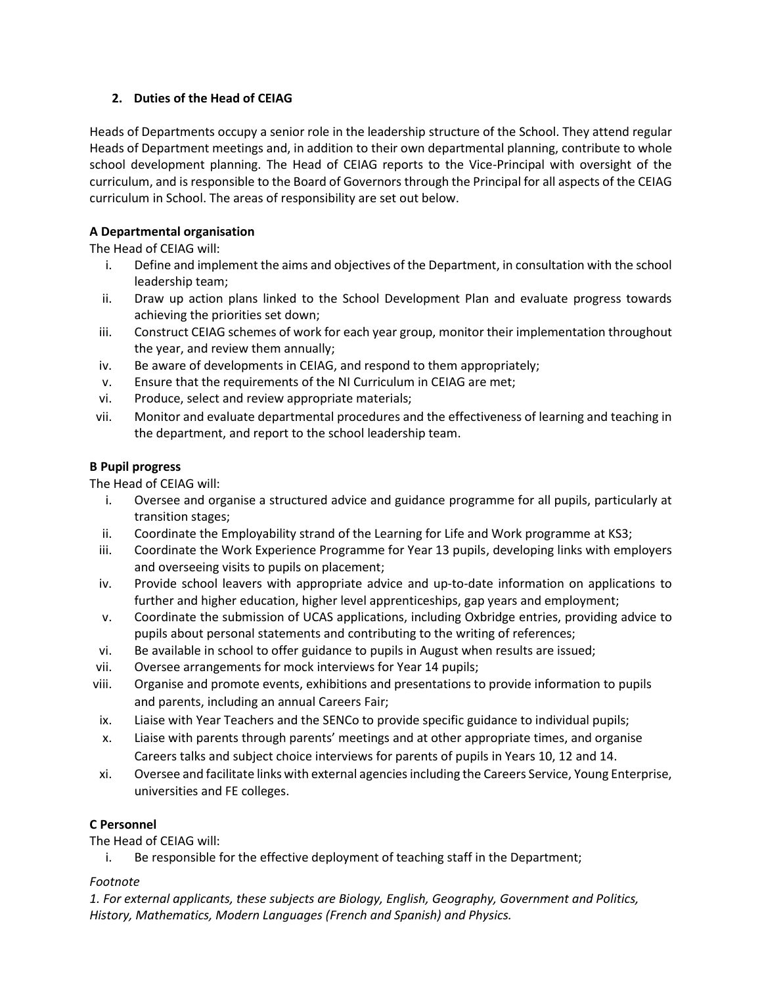## **2. Duties of the Head of CEIAG**

Heads of Departments occupy a senior role in the leadership structure of the School. They attend regular Heads of Department meetings and, in addition to their own departmental planning, contribute to whole school development planning. The Head of CEIAG reports to the Vice-Principal with oversight of the curriculum, and is responsible to the Board of Governors through the Principal for all aspects of the CEIAG curriculum in School. The areas of responsibility are set out below.

## **A Departmental organisation**

The Head of CEIAG will:

- i. Define and implement the aims and objectives of the Department, in consultation with the school leadership team;
- ii. Draw up action plans linked to the School Development Plan and evaluate progress towards achieving the priorities set down;
- iii. Construct CEIAG schemes of work for each year group, monitor their implementation throughout the year, and review them annually;
- iv. Be aware of developments in CEIAG, and respond to them appropriately;
- v. Ensure that the requirements of the NI Curriculum in CEIAG are met;
- vi. Produce, select and review appropriate materials;
- vii. Monitor and evaluate departmental procedures and the effectiveness of learning and teaching in the department, and report to the school leadership team.

## **B Pupil progress**

The Head of CEIAG will:

- i. Oversee and organise a structured advice and guidance programme for all pupils, particularly at transition stages;
- ii. Coordinate the Employability strand of the Learning for Life and Work programme at KS3;
- iii. Coordinate the Work Experience Programme for Year 13 pupils, developing links with employers and overseeing visits to pupils on placement;
- iv. Provide school leavers with appropriate advice and up-to-date information on applications to further and higher education, higher level apprenticeships, gap years and employment;
- v. Coordinate the submission of UCAS applications, including Oxbridge entries, providing advice to pupils about personal statements and contributing to the writing of references;
- vi. Be available in school to offer guidance to pupils in August when results are issued;
- vii. Oversee arrangements for mock interviews for Year 14 pupils;
- viii. Organise and promote events, exhibitions and presentations to provide information to pupils and parents, including an annual Careers Fair;
- ix. Liaise with Year Teachers and the SENCo to provide specific guidance to individual pupils;
- x. Liaise with parents through parents' meetings and at other appropriate times, and organise Careers talks and subject choice interviews for parents of pupils in Years 10, 12 and 14.
- xi. Oversee and facilitate links with external agencies including the Careers Service, Young Enterprise, universities and FE colleges.

# **C Personnel**

The Head of CEIAG will:

i. Be responsible for the effective deployment of teaching staff in the Department;

## *Footnote*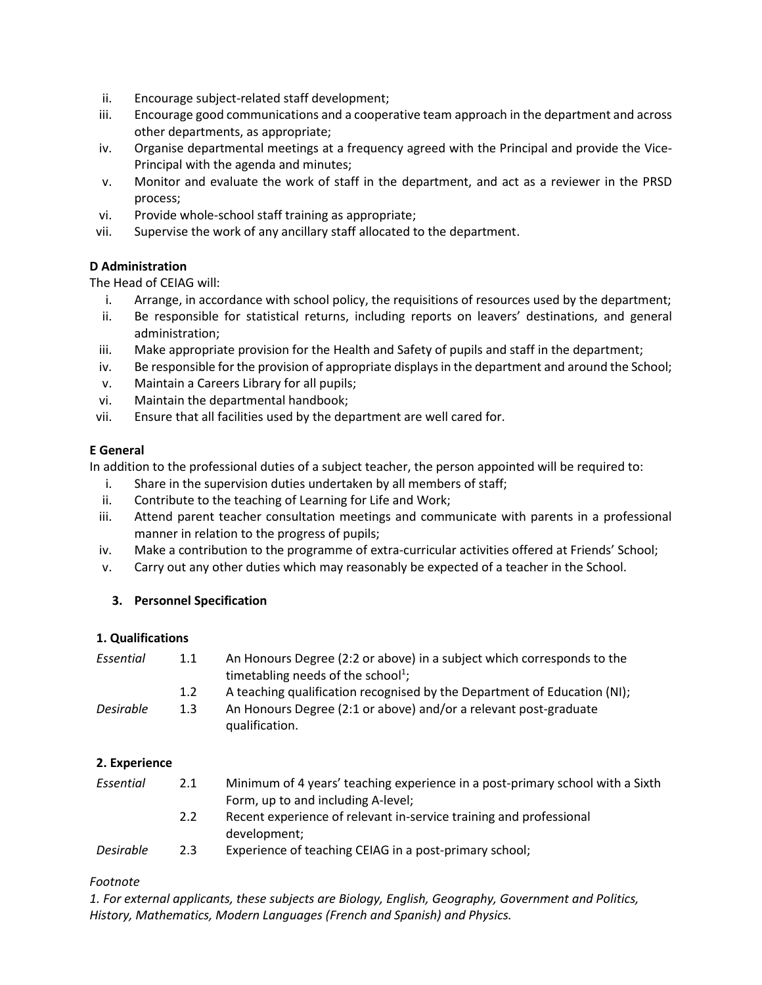- ii. Encourage subject-related staff development;
- iii. Encourage good communications and a cooperative team approach in the department and across other departments, as appropriate;
- iv. Organise departmental meetings at a frequency agreed with the Principal and provide the Vice-Principal with the agenda and minutes;
- v. Monitor and evaluate the work of staff in the department, and act as a reviewer in the PRSD process;
- vi. Provide whole-school staff training as appropriate;
- vii. Supervise the work of any ancillary staff allocated to the department.

#### **D Administration**

The Head of CEIAG will:

- i. Arrange, in accordance with school policy, the requisitions of resources used by the department;
- ii. Be responsible for statistical returns, including reports on leavers' destinations, and general administration;
- iii. Make appropriate provision for the Health and Safety of pupils and staff in the department;
- iv. Be responsible for the provision of appropriate displays in the department and around the School;
- v. Maintain a Careers Library for all pupils;
- vi. Maintain the departmental handbook;
- vii. Ensure that all facilities used by the department are well cared for.

#### **E General**

In addition to the professional duties of a subject teacher, the person appointed will be required to:

- i. Share in the supervision duties undertaken by all members of staff;
- ii. Contribute to the teaching of Learning for Life and Work;
- iii. Attend parent teacher consultation meetings and communicate with parents in a professional manner in relation to the progress of pupils;
- iv. Make a contribution to the programme of extra-curricular activities offered at Friends' School;
- v. Carry out any other duties which may reasonably be expected of a teacher in the School.

## **3. Personnel Specification**

#### **1. Qualifications**

| Essential        | 1.1 | An Honours Degree (2:2 or above) in a subject which corresponds to the<br>timetabling needs of the school <sup>1</sup> ; |
|------------------|-----|--------------------------------------------------------------------------------------------------------------------------|
|                  | 1.2 | A teaching qualification recognised by the Department of Education (NI);                                                 |
| <b>Desirable</b> | 1.3 | An Honours Degree (2:1 or above) and/or a relevant post-graduate<br>qualification.                                       |

#### **2. Experience**

| Essential | 2.1 | Minimum of 4 years' teaching experience in a post-primary school with a Sixth |
|-----------|-----|-------------------------------------------------------------------------------|
|           |     | Form, up to and including A-level;                                            |
|           | 2.2 | Recent experience of relevant in-service training and professional            |
|           |     | development;                                                                  |

*Desirable* 2.3 Experience of teaching CEIAG in a post-primary school;

#### *Footnote*